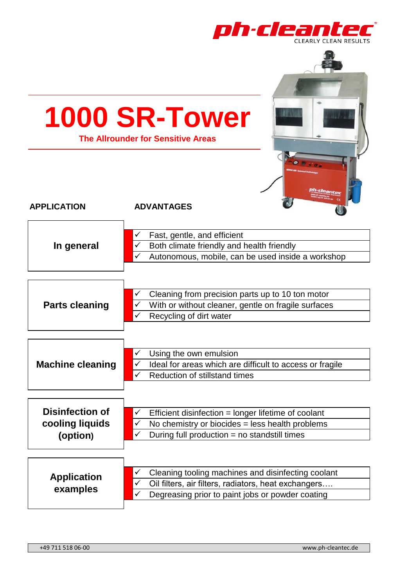